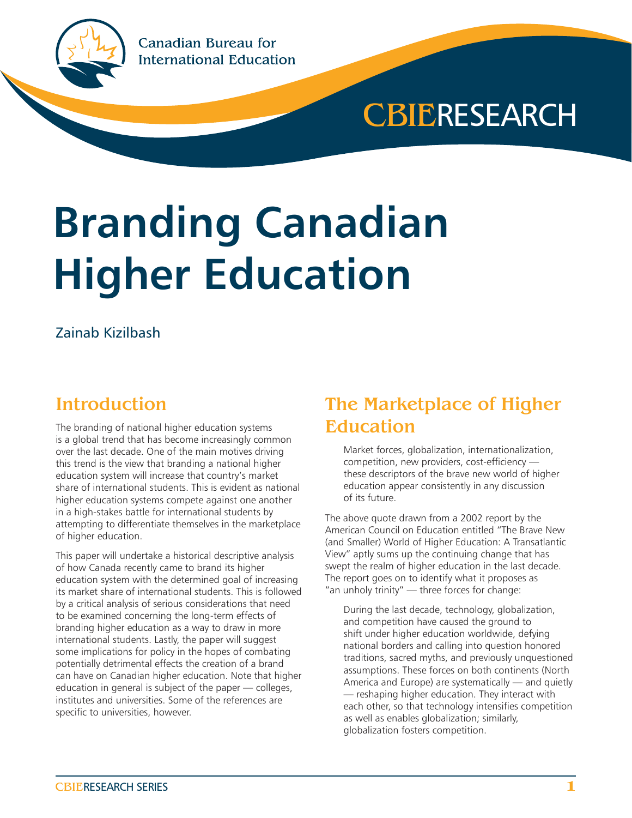



# **Branding Canadian Higher Education**

#### Zainab Kizilbash

#### **Introduction**

The branding of national higher education systems is a global trend that has become increasingly common over the last decade. One of the main motives driving this trend is the view that branding a national higher education system will increase that country's market share of international students. This is evident as national higher education systems compete against one another in a high-stakes battle for international students by attempting to differentiate themselves in the marketplace of higher education.

This paper will undertake a historical descriptive analysis of how Canada recently came to brand its higher education system with the determined goal of increasing its market share of international students. This is followed by a critical analysis of serious considerations that need to be examined concerning the long-term effects of branding higher education as a way to draw in more international students. Lastly, the paper will suggest some implications for policy in the hopes of combating potentially detrimental effects the creation of a brand can have on Canadian higher education. Note that higher education in general is subject of the paper — colleges, institutes and universities. Some of the references are specific to universities, however.

### The Marketplace of Higher Education

Market forces, globalization, internationalization, competition, new providers, cost-efficiency these descriptors of the brave new world of higher education appear consistently in any discussion of its future.

The above quote drawn from a 2002 report by the American Council on Education entitled "The Brave New (and Smaller) World of Higher Education: A Transatlantic View" aptly sums up the continuing change that has swept the realm of higher education in the last decade. The report goes on to identify what it proposes as "an unholy trinity" — three forces for change:

During the last decade, technology, globalization, and competition have caused the ground to shift under higher education worldwide, defying national borders and calling into question honored traditions, sacred myths, and previously unquestioned assumptions. These forces on both continents (North America and Europe) are systematically — and quietly — reshaping higher education. They interact with each other, so that technology intensifies competition as well as enables globalization; similarly, globalization fosters competition.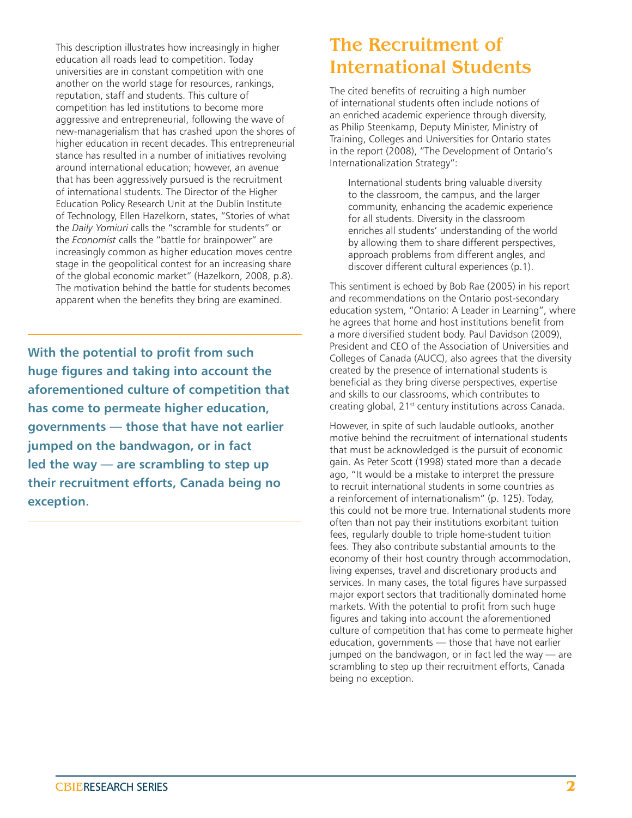This description illustrates how increasingly in higher education all roads lead to competition. Today universities are in constant competition with one another on the world stage for resources, rankings, reputation, staff and students. This culture of competition has led institutions to become more aggressive and entrepreneurial, following the wave of new-managerialism that has crashed upon the shores of higher education in recent decades. This entrepreneurial stance has resulted in a number of initiatives revolving around international education; however, an avenue that has been aggressively pursued is the recruitment of international students. The Director of the Higher Education Policy Research Unit at the Dublin Institute of Technology, Ellen Hazelkorn, states, "Stories of what the *Daily Yomiuri* calls the "scramble for students" or the *Economist* calls the "battle for brainpower" are increasingly common as higher education moves centre stage in the geopolitical contest for an increasing share of the global economic market" (Hazelkorn, 2008, p.8). The motivation behind the battle for students becomes apparent when the benefits they bring are examined.

**With the potential to profit from such huge figures and taking into account the aforementioned culture of competition that has come to permeate higher education, governments — those that have not earlier jumped on the bandwagon, or in fact led the way — are scrambling to step up their recruitment efforts, Canada being no exception.**

## The Recruitment of International Students

The cited benefits of recruiting a high number of international students often include notions of an enriched academic experience through diversity, as Philip Steenkamp, Deputy Minister, Ministry of Training, Colleges and Universities for Ontario states in the report (2008), "The Development of Ontario's Internationalization Strategy":

International students bring valuable diversity to the classroom, the campus, and the larger community, enhancing the academic experience for all students. Diversity in the classroom enriches all students' understanding of the world by allowing them to share different perspectives, approach problems from different angles, and discover different cultural experiences (p.1).

This sentiment is echoed by Bob Rae (2005) in his report and recommendations on the Ontario post-secondary education system, "Ontario: A Leader in Learning", where he agrees that home and host institutions benefit from a more diversified student body. Paul Davidson (2009), President and CEO of the Association of Universities and Colleges of Canada (AUCC), also agrees that the diversity created by the presence of international students is beneficial as they bring diverse perspectives, expertise and skills to our classrooms, which contributes to creating global, 21<sup>st</sup> century institutions across Canada.

However, in spite of such laudable outlooks, another motive behind the recruitment of international students that must be acknowledged is the pursuit of economic gain. As Peter Scott (1998) stated more than a decade ago, "It would be a mistake to interpret the pressure to recruit international students in some countries as a reinforcement of internationalism" (p. 125). Today, this could not be more true. International students more often than not pay their institutions exorbitant tuition fees, regularly double to triple home-student tuition fees. They also contribute substantial amounts to the economy of their host country through accommodation, living expenses, travel and discretionary products and services. In many cases, the total figures have surpassed major export sectors that traditionally dominated home markets. With the potential to profit from such huge figures and taking into account the aforementioned culture of competition that has come to permeate higher education, governments — those that have not earlier jumped on the bandwagon, or in fact led the way — are scrambling to step up their recruitment efforts, Canada being no exception.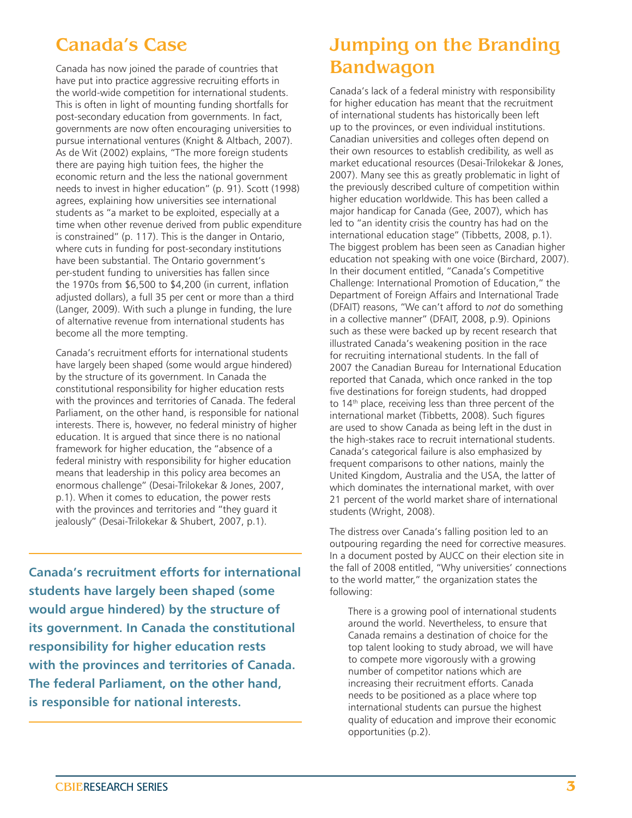## Canada's Case

Canada has now joined the parade of countries that have put into practice aggressive recruiting efforts in the world-wide competition for international students. This is often in light of mounting funding shortfalls for post-secondary education from governments. In fact, governments are now often encouraging universities to pursue international ventures (Knight & Altbach, 2007). As de Wit (2002) explains, "The more foreign students there are paying high tuition fees, the higher the economic return and the less the national government needs to invest in higher education" (p. 91). Scott (1998) agrees, explaining how universities see international students as "a market to be exploited, especially at a time when other revenue derived from public expenditure is constrained" (p. 117). This is the danger in Ontario, where cuts in funding for post-secondary institutions have been substantial. The Ontario government's per-student funding to universities has fallen since the 1970s from \$6,500 to \$4,200 (in current, inflation adjusted dollars), a full 35 per cent or more than a third (Langer, 2009). With such a plunge in funding, the lure of alternative revenue from international students has become all the more tempting.

Canada's recruitment efforts for international students have largely been shaped (some would argue hindered) by the structure of its government. In Canada the constitutional responsibility for higher education rests with the provinces and territories of Canada. The federal Parliament, on the other hand, is responsible for national interests. There is, however, no federal ministry of higher education. It is argued that since there is no national framework for higher education, the "absence of a federal ministry with responsibility for higher education means that leadership in this policy area becomes an enormous challenge" (Desai-Trilokekar & Jones, 2007, p.1). When it comes to education, the power rests with the provinces and territories and "they guard it jealously" (Desai-Trilokekar & Shubert, 2007, p.1).

**Canada's recruitment efforts for international students have largely been shaped (some would argue hindered) by the structure of its government. In Canada the constitutional responsibility for higher education rests with the provinces and territories of Canada. The federal Parliament, on the other hand, is responsible for national interests.**

# Jumping on the Branding Bandwagon

Canada's lack of a federal ministry with responsibility for higher education has meant that the recruitment of international students has historically been left up to the provinces, or even individual institutions. Canadian universities and colleges often depend on their own resources to establish credibility, as well as market educational resources (Desai-Trilokekar & Jones, 2007). Many see this as greatly problematic in light of the previously described culture of competition within higher education worldwide. This has been called a major handicap for Canada (Gee, 2007), which has led to "an identity crisis the country has had on the international education stage" (Tibbetts, 2008, p.1). The biggest problem has been seen as Canadian higher education not speaking with one voice (Birchard, 2007). In their document entitled, "Canada's Competitive Challenge: International Promotion of Education," the Department of Foreign Affairs and International Trade (DFAIT) reasons, "We can't afford to *not* do something in a collective manner" (DFAIT, 2008, p.9). Opinions such as these were backed up by recent research that illustrated Canada's weakening position in the race for recruiting international students. In the fall of 2007 the Canadian Bureau for International Education reported that Canada, which once ranked in the top five destinations for foreign students, had dropped to 14<sup>th</sup> place, receiving less than three percent of the international market (Tibbetts, 2008). Such figures are used to show Canada as being left in the dust in the high-stakes race to recruit international students. Canada's categorical failure is also emphasized by frequent comparisons to other nations, mainly the United Kingdom, Australia and the USA, the latter of which dominates the international market, with over 21 percent of the world market share of international students (Wright, 2008).

The distress over Canada's falling position led to an outpouring regarding the need for corrective measures. In a document posted by AUCC on their election site in the fall of 2008 entitled, "Why universities' connections to the world matter," the organization states the following:

There is a growing pool of international students around the world. Nevertheless, to ensure that Canada remains a destination of choice for the top talent looking to study abroad, we will have to compete more vigorously with a growing number of competitor nations which are increasing their recruitment efforts. Canada needs to be positioned as a place where top international students can pursue the highest quality of education and improve their economic opportunities (p.2).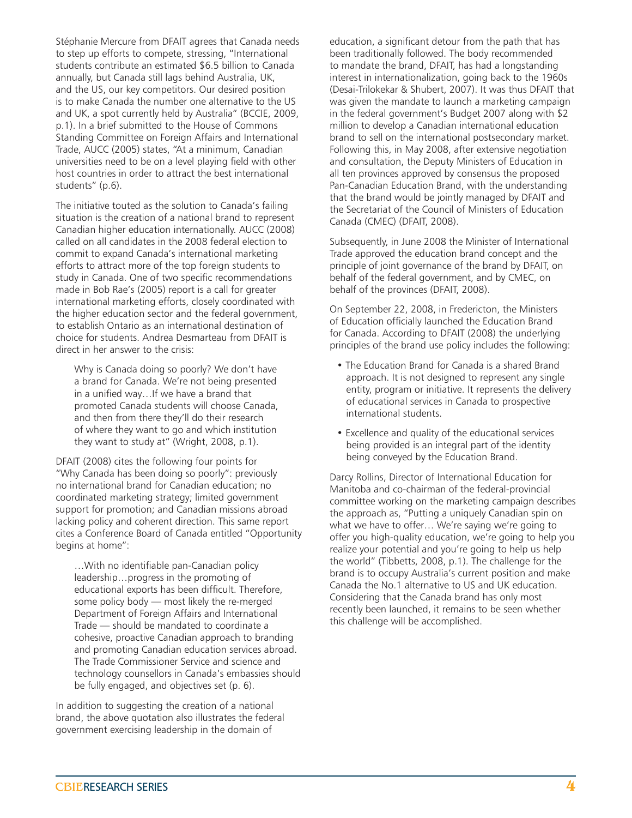Stéphanie Mercure from DFAIT agrees that Canada needs to step up efforts to compete, stressing, "International students contribute an estimated \$6.5 billion to Canada annually, but Canada still lags behind Australia, UK, and the US, our key competitors. Our desired position is to make Canada the number one alternative to the US and UK, a spot currently held by Australia" (BCCIE, 2009, p.1). In a brief submitted to the House of Commons Standing Committee on Foreign Affairs and International Trade, AUCC (2005) states, "At a minimum, Canadian universities need to be on a level playing field with other host countries in order to attract the best international students" (p.6).

The initiative touted as the solution to Canada's failing situation is the creation of a national brand to represent Canadian higher education internationally. AUCC (2008) called on all candidates in the 2008 federal election to commit to expand Canada's international marketing efforts to attract more of the top foreign students to study in Canada. One of two specific recommendations made in Bob Rae's (2005) report is a call for greater international marketing efforts, closely coordinated with the higher education sector and the federal government, to establish Ontario as an international destination of choice for students. Andrea Desmarteau from DFAIT is direct in her answer to the crisis:

Why is Canada doing so poorly? We don't have a brand for Canada. We're not being presented in a unified way…If we have a brand that promoted Canada students will choose Canada, and then from there they'll do their research of where they want to go and which institution they want to study at" (Wright, 2008, p.1).

DFAIT (2008) cites the following four points for "Why Canada has been doing so poorly": previously no international brand for Canadian education; no coordinated marketing strategy; limited government support for promotion; and Canadian missions abroad lacking policy and coherent direction. This same report cites a Conference Board of Canada entitled "Opportunity begins at home":

…With no identifiable pan-Canadian policy leadership…progress in the promoting of educational exports has been difficult. Therefore, some policy body — most likely the re-merged Department of Foreign Affairs and International Trade — should be mandated to coordinate a cohesive, proactive Canadian approach to branding and promoting Canadian education services abroad. The Trade Commissioner Service and science and technology counsellors in Canada's embassies should be fully engaged, and objectives set (p. 6).

In addition to suggesting the creation of a national brand, the above quotation also illustrates the federal government exercising leadership in the domain of

education, a significant detour from the path that has been traditionally followed. The body recommended to mandate the brand, DFAIT, has had a longstanding interest in internationalization, going back to the 1960s (Desai-Trilokekar & Shubert, 2007). It was thus DFAIT that was given the mandate to launch a marketing campaign in the federal government's Budget 2007 along with \$2 million to develop a Canadian international education brand to sell on the international postsecondary market. Following this, in May 2008, after extensive negotiation and consultation, the Deputy Ministers of Education in all ten provinces approved by consensus the proposed Pan-Canadian Education Brand, with the understanding that the brand would be jointly managed by DFAIT and the Secretariat of the Council of Ministers of Education Canada (CMEC) (DFAIT, 2008).

Subsequently, in June 2008 the Minister of International Trade approved the education brand concept and the principle of joint governance of the brand by DFAIT, on behalf of the federal government, and by CMEC, on behalf of the provinces (DFAIT, 2008).

On September 22, 2008, in Fredericton, the Ministers of Education officially launched the Education Brand for Canada. According to DFAIT (2008) the underlying principles of the brand use policy includes the following:

- The Education Brand for Canada is a shared Brand approach. It is not designed to represent any single entity, program or initiative. It represents the delivery of educational services in Canada to prospective international students.
- Excellence and quality of the educational services being provided is an integral part of the identity being conveyed by the Education Brand.

Darcy Rollins, Director of International Education for Manitoba and co-chairman of the federal-provincial committee working on the marketing campaign describes the approach as, "Putting a uniquely Canadian spin on what we have to offer… We're saying we're going to offer you high-quality education, we're going to help you realize your potential and you're going to help us help the world" (Tibbetts, 2008, p.1). The challenge for the brand is to occupy Australia's current position and make Canada the No.1 alternative to US and UK education. Considering that the Canada brand has only most recently been launched, it remains to be seen whether this challenge will be accomplished.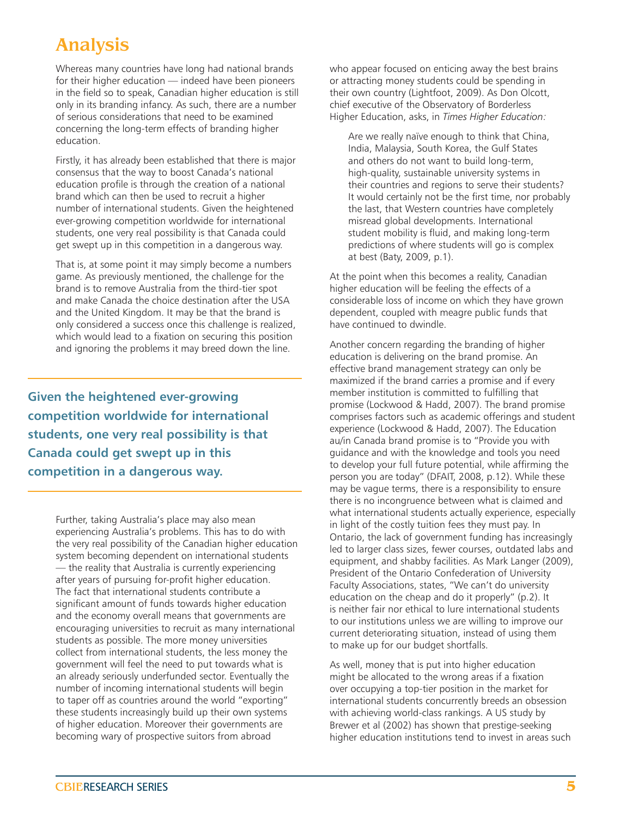# Analysis

Whereas many countries have long had national brands for their higher education — indeed have been pioneers in the field so to speak, Canadian higher education is still only in its branding infancy. As such, there are a number of serious considerations that need to be examined concerning the long-term effects of branding higher education.

Firstly, it has already been established that there is major consensus that the way to boost Canada's national education profile is through the creation of a national brand which can then be used to recruit a higher number of international students. Given the heightened ever-growing competition worldwide for international students, one very real possibility is that Canada could get swept up in this competition in a dangerous way.

That is, at some point it may simply become a numbers game. As previously mentioned, the challenge for the brand is to remove Australia from the third-tier spot and make Canada the choice destination after the USA and the United Kingdom. It may be that the brand is only considered a success once this challenge is realized, which would lead to a fixation on securing this position and ignoring the problems it may breed down the line.

**Given the heightened ever-growing competition worldwide for international students, one very real possibility is that Canada could get swept up in this competition in a dangerous way.**

> Further, taking Australia's place may also mean experiencing Australia's problems. This has to do with the very real possibility of the Canadian higher education system becoming dependent on international students — the reality that Australia is currently experiencing after years of pursuing for-profit higher education. The fact that international students contribute a significant amount of funds towards higher education and the economy overall means that governments are encouraging universities to recruit as many international students as possible. The more money universities collect from international students, the less money the government will feel the need to put towards what is an already seriously underfunded sector. Eventually the number of incoming international students will begin to taper off as countries around the world "exporting" these students increasingly build up their own systems of higher education. Moreover their governments are becoming wary of prospective suitors from abroad

who appear focused on enticing away the best brains or attracting money students could be spending in their own country (Lightfoot, 2009). As Don Olcott, chief executive of the Observatory of Borderless Higher Education, asks, in *Times Higher Education:*

Are we really naïve enough to think that China, India, Malaysia, South Korea, the Gulf States and others do not want to build long-term, high-quality, sustainable university systems in their countries and regions to serve their students? It would certainly not be the first time, nor probably the last, that Western countries have completely misread global developments. International student mobility is fluid, and making long-term predictions of where students will go is complex at best (Baty, 2009, p.1).

At the point when this becomes a reality, Canadian higher education will be feeling the effects of a considerable loss of income on which they have grown dependent, coupled with meagre public funds that have continued to dwindle.

Another concern regarding the branding of higher education is delivering on the brand promise. An effective brand management strategy can only be maximized if the brand carries a promise and if every member institution is committed to fulfilling that promise (Lockwood & Hadd, 2007). The brand promise comprises factors such as academic offerings and student experience (Lockwood & Hadd, 2007). The Education au/in Canada brand promise is to "Provide you with guidance and with the knowledge and tools you need to develop your full future potential, while affirming the person you are today" (DFAIT, 2008, p.12). While these may be vague terms, there is a responsibility to ensure there is no incongruence between what is claimed and what international students actually experience, especially in light of the costly tuition fees they must pay. In Ontario, the lack of government funding has increasingly led to larger class sizes, fewer courses, outdated labs and equipment, and shabby facilities. As Mark Langer (2009), President of the Ontario Confederation of University Faculty Associations, states, "We can't do university education on the cheap and do it properly" (p.2). It is neither fair nor ethical to lure international students to our institutions unless we are willing to improve our current deteriorating situation, instead of using them to make up for our budget shortfalls.

As well, money that is put into higher education might be allocated to the wrong areas if a fixation over occupying a top-tier position in the market for international students concurrently breeds an obsession with achieving world-class rankings. A US study by Brewer et al (2002) has shown that prestige-seeking higher education institutions tend to invest in areas such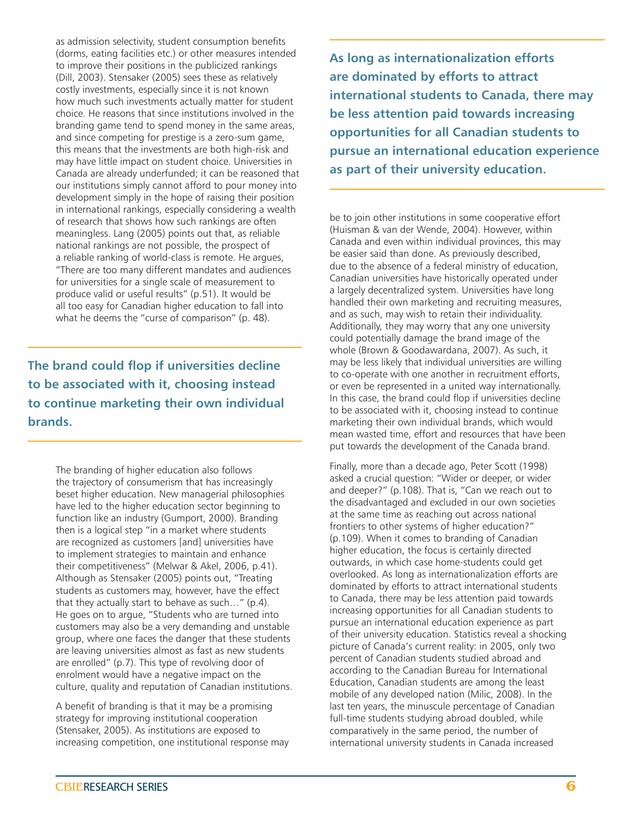as admission selectivity, student consumption benefits (dorms, eating facilities etc.) or other measures intended to improve their positions in the publicized rankings (Dill, 2003). Stensaker (2005) sees these as relatively costly investments, especially since it is not known how much such investments actually matter for student choice. He reasons that since institutions involved in the branding game tend to spend money in the same areas, and since competing for prestige is a zero-sum game, this means that the investments are both high-risk and may have little impact on student choice. Universities in Canada are already underfunded; it can be reasoned that our institutions simply cannot afford to pour money into development simply in the hope of raising their position in international rankings, especially considering a wealth of research that shows how such rankings are often meaningless. Lang (2005) points out that, as reliable national rankings are not possible, the prospect of a reliable ranking of world-class is remote. He argues, "There are too many different mandates and audiences for universities for a single scale of measurement to produce valid or useful results" (p.51). It would be all too easy for Canadian higher education to fall into what he deems the "curse of comparison" (p. 48).

**The brand could flop if universities decline to be associated with it, choosing instead to continue marketing their own individual brands.**

> The branding of higher education also follows the trajectory of consumerism that has increasingly beset higher education. New managerial philosophies have led to the higher education sector beginning to function like an industry (Gumport, 2000). Branding then is a logical step "in a market where students are recognized as customers [and] universities have to implement strategies to maintain and enhance their competitiveness" (Melwar & Akel, 2006, p.41). Although as Stensaker (2005) points out, "Treating students as customers may, however, have the effect that they actually start to behave as such…" (p.4). He goes on to argue, "Students who are turned into customers may also be a very demanding and unstable group, where one faces the danger that these students are leaving universities almost as fast as new students are enrolled" (p.7). This type of revolving door of enrolment would have a negative impact on the culture, quality and reputation of Canadian institutions.

A benefit of branding is that it may be a promising strategy for improving institutional cooperation (Stensaker, 2005). As institutions are exposed to increasing competition, one institutional response may **As long as internationalization efforts are dominated by efforts to attract international students to Canada, there may be less attention paid towards increasing opportunities for all Canadian students to pursue an international education experience as part of their university education.**

be to join other institutions in some cooperative effort (Huisman & van der Wende, 2004). However, within Canada and even within individual provinces, this may be easier said than done. As previously described, due to the absence of a federal ministry of education, Canadian universities have historically operated under a largely decentralized system. Universities have long handled their own marketing and recruiting measures, and as such, may wish to retain their individuality. Additionally, they may worry that any one university could potentially damage the brand image of the whole (Brown & Goodawardana, 2007). As such, it may be less likely that individual universities are willing to co-operate with one another in recruitment efforts, or even be represented in a united way internationally. In this case, the brand could flop if universities decline to be associated with it, choosing instead to continue marketing their own individual brands, which would mean wasted time, effort and resources that have been put towards the development of the Canada brand.

Finally, more than a decade ago, Peter Scott (1998) asked a crucial question: "Wider or deeper, or wider and deeper?" (p.108). That is, "Can we reach out to the disadvantaged and excluded in our own societies at the same time as reaching out across national frontiers to other systems of higher education?" (p.109). When it comes to branding of Canadian higher education, the focus is certainly directed outwards, in which case home-students could get overlooked. As long as internationalization efforts are dominated by efforts to attract international students to Canada, there may be less attention paid towards increasing opportunities for all Canadian students to pursue an international education experience as part of their university education. Statistics reveal a shocking picture of Canada's current reality: in 2005, only two percent of Canadian students studied abroad and according to the Canadian Bureau for International Education, Canadian students are among the least mobile of any developed nation (Milic, 2008). In the last ten years, the minuscule percentage of Canadian full-time students studying abroad doubled, while comparatively in the same period, the number of international university students in Canada increased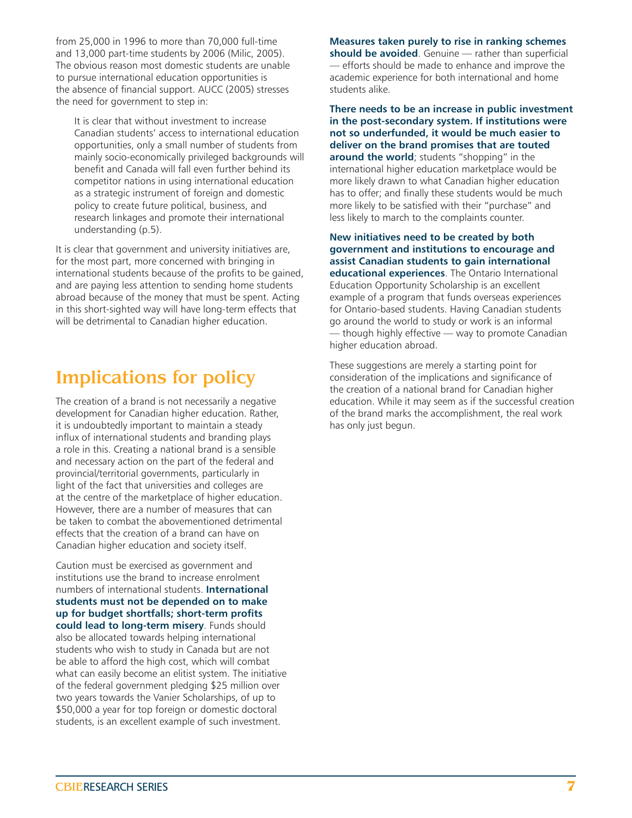from 25,000 in 1996 to more than 70,000 full-time and 13,000 part-time students by 2006 (Milic, 2005). The obvious reason most domestic students are unable to pursue international education opportunities is the absence of financial support. AUCC (2005) stresses the need for government to step in:

It is clear that without investment to increase Canadian students' access to international education opportunities, only a small number of students from mainly socio-economically privileged backgrounds will benefit and Canada will fall even further behind its competitor nations in using international education as a strategic instrument of foreign and domestic policy to create future political, business, and research linkages and promote their international understanding (p.5).

It is clear that government and university initiatives are, for the most part, more concerned with bringing in international students because of the profits to be gained, and are paying less attention to sending home students abroad because of the money that must be spent. Acting in this short-sighted way will have long-term effects that will be detrimental to Canadian higher education.

# Implications for policy

The creation of a brand is not necessarily a negative development for Canadian higher education. Rather, it is undoubtedly important to maintain a steady influx of international students and branding plays a role in this. Creating a national brand is a sensible and necessary action on the part of the federal and provincial/territorial governments, particularly in light of the fact that universities and colleges are at the centre of the marketplace of higher education. However, there are a number of measures that can be taken to combat the abovementioned detrimental effects that the creation of a brand can have on Canadian higher education and society itself.

Caution must be exercised as government and institutions use the brand to increase enrolment numbers of international students. **International students must not be depended on to make up for budget shortfalls; short-term profits could lead to long-term misery**. Funds should also be allocated towards helping international students who wish to study in Canada but are not be able to afford the high cost, which will combat what can easily become an elitist system. The initiative of the federal government pledging \$25 million over two years towards the Vanier Scholarships, of up to \$50,000 a year for top foreign or domestic doctoral students, is an excellent example of such investment.

**Measures taken purely to rise in ranking schemes should be avoided**. Genuine — rather than superficial — efforts should be made to enhance and improve the academic experience for both international and home students alike.

**There needs to be an increase in public investment in the post-secondary system. If institutions were not so underfunded, it would be much easier to deliver on the brand promises that are touted around the world**; students "shopping" in the international higher education marketplace would be more likely drawn to what Canadian higher education has to offer; and finally these students would be much more likely to be satisfied with their "purchase" and less likely to march to the complaints counter.

**New initiatives need to be created by both government and institutions to encourage and assist Canadian students to gain international educational experiences**. The Ontario International Education Opportunity Scholarship is an excellent example of a program that funds overseas experiences for Ontario-based students. Having Canadian students go around the world to study or work is an informal — though highly effective — way to promote Canadian higher education abroad.

These suggestions are merely a starting point for consideration of the implications and significance of the creation of a national brand for Canadian higher education. While it may seem as if the successful creation of the brand marks the accomplishment, the real work has only just begun.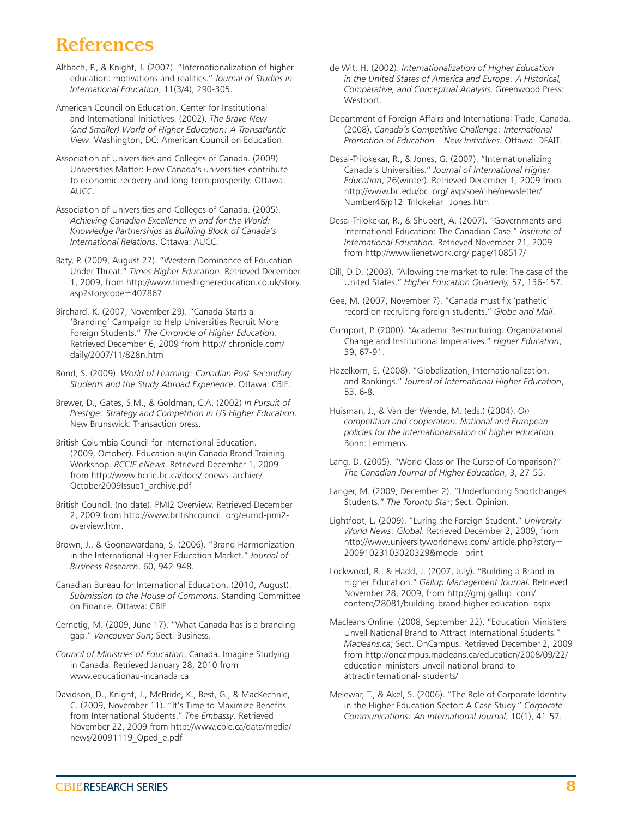#### References

- Altbach, P., & Knight, J. (2007). "Internationalization of higher education: motivations and realities." *Journal of Studies in International Education*, 11(3/4), 290-305.
- American Council on Education, Center for Institutional and International Initiatives. (2002). *The Brave New (and Smaller) World of Higher Education: A Transatlantic View*. Washington, DC: American Council on Education.
- Association of Universities and Colleges of Canada. (2009) Universities Matter: How Canada's universities contribute to economic recovery and long-term prosperity*.* Ottawa: AUCC.
- Association of Universities and Colleges of Canada. (2005). *Achieving Canadian Excellence in and for the World: Knowledge Partnerships as Building Block of Canada's International Relations*. Ottawa: AUCC.
- Baty, P. (2009, August 27). "Western Dominance of Education Under Threat." *Times Higher Education*. Retrieved December 1, 2009, from http://www.timeshighereducation.co.uk/story. asp?storycode=407867
- Birchard, K. (2007, November 29). "Canada Starts a 'Branding' Campaign to Help Universities Recruit More Foreign Students." *The Chronicle of Higher Education*. Retrieved December 6, 2009 from http:// chronicle.com/ daily/2007/11/828n.htm
- Bond, S. (2009). *World of Learning: Canadian Post-Secondary Students and the Study Abroad Experience*. Ottawa: CBIE.
- Brewer, D., Gates, S.M., & Goldman, C.A. (2002) *In Pursuit of Prestige: Strategy and Competition in US Higher Education*. New Brunswick: Transaction press.
- British Columbia Council for International Education. (2009, October). Education au/in Canada Brand Training Workshop. *BCCIE eNews*. Retrieved December 1, 2009 from http://www.bccie.bc.ca/docs/ enews\_archive/ October2009Issue1\_archive.pdf
- British Council. (no date). PMI2 Overview. Retrieved December 2, 2009 from http://www.britishcouncil. org/eumd-pmi2 overview.htm.
- Brown, J., & Goonawardana, S. (2006). "Brand Harmonization in the International Higher Education Market." *Journal of Business Research*, 60, 942-948.
- Canadian Bureau for International Education. (2010, August). *Submission to the House of Commons*. Standing Committee on Finance. Ottawa: CBIE
- Cernetig, M. (2009, June 17). "What Canada has is a branding gap." *Vancouver Sun*; Sect. Business.
- *Council of Ministries of Education*, Canada. Imagine Studying in Canada. Retrieved January 28, 2010 from www.educationau-incanada.ca
- Davidson, D., Knight, J., McBride, K., Best, G., & MacKechnie, C. (2009, November 11). "It's Time to Maximize Benefits from International Students." *The Embassy*. Retrieved November 22, 2009 from http://www.cbie.ca/data/media/ news/20091119\_Oped\_e.pdf
- de Wit, H. (2002). *Internationalization of Higher Education in the United States of America and Europe: A Historical, Comparative, and Conceptual Analysis*. Greenwood Press: Westport.
- Department of Foreign Affairs and International Trade, Canada. (2008). *Canada's Competitive Challenge: International Promotion of Education – New Initiatives.* Ottawa: DFAIT.
- Desai-Trilokekar, R., & Jones, G. (2007). "Internationalizing Canada's Universities." *Journal of International Higher Education*, 26(winter). Retrieved December 1, 2009 from http://www.bc.edu/bc\_org/ avp/soe/cihe/newsletter/ Number46/p12\_Trilokekar\_ Jones.htm
- Desai-Trilokekar, R., & Shubert, A. (2007). "Governments and International Education: The Canadian Case." *Institute of International Education.* Retrieved November 21, 2009 from http://www.iienetwork.org/ page/108517/
- Dill, D.D. (2003). "Allowing the market to rule: The case of the United States." *Higher Education Quarterly,* 57, 136-157.
- Gee, M. (2007, November 7). "Canada must fix 'pathetic' record on recruiting foreign students." *Globe and Mail*.
- Gumport, P. (2000). "Academic Restructuring: Organizational Change and Institutional Imperatives." *Higher Education*, 39, 67-91.
- Hazelkorn, E. (2008). "Globalization, Internationalization, and Rankings." *Journal of International Higher Education*, 53, 6-8.
- Huisman, J., & Van der Wende, M. (eds.) (2004). *On competition and cooperation. National and European policies for the internationalisation of higher educatio*n. Bonn: Lemmens.
- Lang, D. (2005). "World Class or The Curse of Comparison?" *The Canadian Journal of Higher Education*, 3, 27-55.
- Langer, M. (2009, December 2). "Underfunding Shortchanges Students." *The Toronto Sta*r; Sect. Opinion.
- Lightfoot, L. (2009). "Luring the Foreign Student." *University World News: Global*. Retrieved December 2, 2009, from http://www.universityworldnews.com/ article.php?story= 20091023103020329&mode=print
- Lockwood, R., & Hadd, J. (2007, July). "Building a Brand in Higher Education." *Gallup Management Journal*. Retrieved November 28, 2009, from http://gmj.gallup. com/ content/28081/building-brand-higher-education. aspx
- Macleans Online. (2008, September 22). "Education Ministers Unveil National Brand to Attract International Students." *Macleans.ca*; Sect. OnCampus. Retrieved December 2, 2009 from http://oncampus.macleans.ca/education/2008/09/22/ education-ministers-unveil-national-brand-toattractinternational- students/
- Melewar, T., & Akel, S. (2006). "The Role of Corporate Identity in the Higher Education Sector: A Case Study." *Corporate Communications: An International Journal*, 10(1), 41-57.